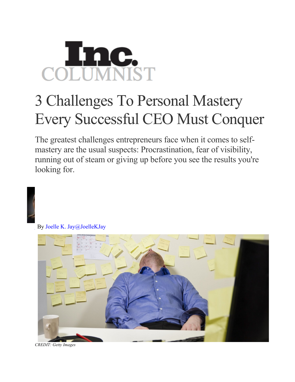## COLUMNIST

## 3 Challenges To Personal Mastery Every Successful CEO Must Conquer

The greatest challenges entrepreneurs face when it comes to selfmastery are the usual suspects: Procrastination, fear of visibility, running out of steam or giving up before you see the results you're looking for.

By Joelle K. Jay@JoelleKJay



*CREDIT: Getty Images*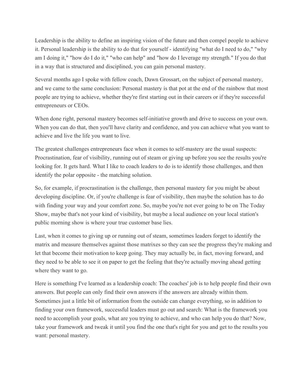Leadership is the ability to define an inspiring vision of the future and then compel people to achieve it. Personal leadership is the ability to do that for yourself - identifying "what do I need to do," "why am I doing it," "how do I do it," "who can help" and "how do I leverage my strength." If you do that in a way that is structured and disciplined, you can gain personal mastery.

Several months ago I spoke with fellow coach, Dawn Grossart, on the subject of personal mastery, and we came to the same conclusion: Personal mastery is that pot at the end of the rainbow that most people are trying to achieve, whether they're first starting out in their careers or if they're successful entrepreneurs or CEOs.

When done right, personal mastery becomes self-initiative growth and drive to success on your own. When you can do that, then you'll have clarity and confidence, and you can achieve what you want to achieve and live the life you want to live.

The greatest challenges entrepreneurs face when it comes to self-mastery are the usual suspects: Procrastination, fear of visibility, running out of steam or giving up before you see the results you're looking for. It gets hard. What I like to coach leaders to do is to identify those challenges, and then identify the polar opposite - the matching solution.

So, for example, if procrastination is the challenge, then personal mastery for you might be about developing discipline. Or, if you're challenge is fear of visibility, then maybe the solution has to do with finding your way and your comfort zone. So, maybe you're not ever going to be on The Today Show, maybe that's not your kind of visibility, but maybe a local audience on your local station's public morning show is where your true customer base lies.

Last, when it comes to giving up or running out of steam, sometimes leaders forget to identify the matrix and measure themselves against those matrixes so they can see the progress they're making and let that become their motivation to keep going. They may actually be, in fact, moving forward, and they need to be able to see it on paper to get the feeling that they're actually moving ahead getting where they want to go.

Here is something I've learned as a leadership coach: The coaches' job is to help people find their own answers. But people can only find their own answers if the answers are already within them. Sometimes just a little bit of information from the outside can change everything, so in addition to finding your own framework, successful leaders must go out and search: What is the framework you need to accomplish your goals, what are you trying to achieve, and who can help you do that? Now, take your framework and tweak it until you find the one that's right for you and get to the results you want: personal mastery.